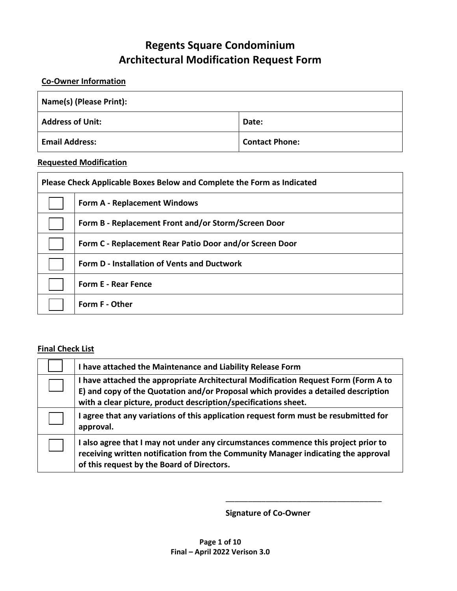#### **Co-Owner Information**

| Name(s) (Please Print): |                       |  |
|-------------------------|-----------------------|--|
| <b>Address of Unit:</b> | Date:                 |  |
| <b>Email Address:</b>   | <b>Contact Phone:</b> |  |

#### **Requested Modification**

| Please Check Applicable Boxes Below and Complete the Form as Indicated |                                                         |  |
|------------------------------------------------------------------------|---------------------------------------------------------|--|
|                                                                        | <b>Form A - Replacement Windows</b>                     |  |
|                                                                        | Form B - Replacement Front and/or Storm/Screen Door     |  |
|                                                                        | Form C - Replacement Rear Patio Door and/or Screen Door |  |
|                                                                        | Form D - Installation of Vents and Ductwork             |  |
|                                                                        | Form E - Rear Fence                                     |  |
|                                                                        | Form F - Other                                          |  |

#### **Final Check List**

| I have attached the Maintenance and Liability Release Form                                                                                                                                                                                  |
|---------------------------------------------------------------------------------------------------------------------------------------------------------------------------------------------------------------------------------------------|
| I have attached the appropriate Architectural Modification Request Form (Form A to<br>E) and copy of the Quotation and/or Proposal which provides a detailed description<br>with a clear picture, product description/specifications sheet. |
| I agree that any variations of this application request form must be resubmitted for<br>approval.                                                                                                                                           |
| I also agree that I may not under any circumstances commence this project prior to<br>receiving written notification from the Community Manager indicating the approval<br>of this request by the Board of Directors.                       |

**Signature of Co-Owner** 

\_\_\_\_\_\_\_\_\_\_\_\_\_\_\_\_\_\_\_\_\_\_\_\_\_\_\_\_\_\_\_\_\_\_\_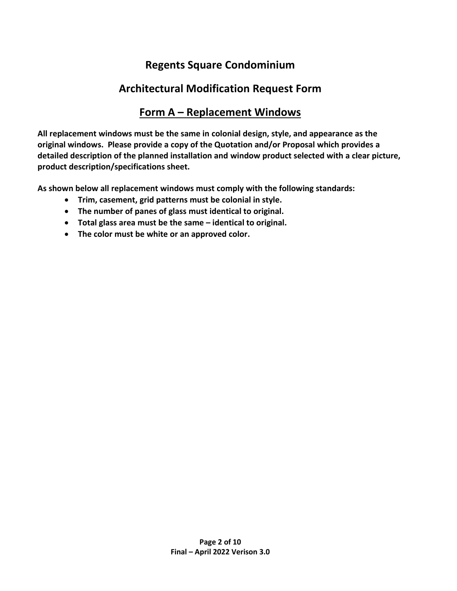#### **Regents Square Condominium**

#### **Architectural Modification Request Form**

#### **Form A – Replacement Windows**

**All replacement windows must be the same in colonial design, style, and appearance as the original windows. Please provide a copy of the Quotation and/or Proposal which provides a detailed description of the planned installation and window product selected with a clear picture, product description/specifications sheet.** 

**As shown below all replacement windows must comply with the following standards:**

- **Trim, casement, grid patterns must be colonial in style.**
- **The number of panes of glass must identical to original.**
- **Total glass area must be the same – identical to original.**
- **The color must be white or an approved color.**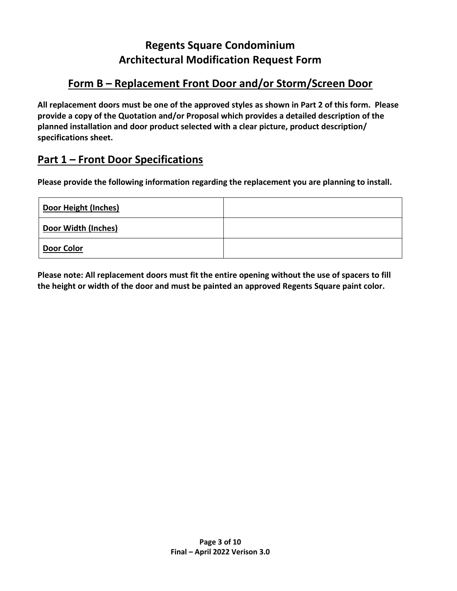# **Form B – Replacement Front Door and/or Storm/Screen Door**

**All replacement doors must be one of the approved styles as shown in Part 2 of this form. Please provide a copy of the Quotation and/or Proposal which provides a detailed description of the planned installation and door product selected with a clear picture, product description/ specifications sheet.**

#### **Part 1 – Front Door Specifications**

**Please provide the following information regarding the replacement you are planning to install.** 

| Door Height (Inches) |  |
|----------------------|--|
| Door Width (Inches)  |  |
| Door Color           |  |

**Please note: All replacement doors must fit the entire opening without the use of spacers to fill the height or width of the door and must be painted an approved Regents Square paint color.**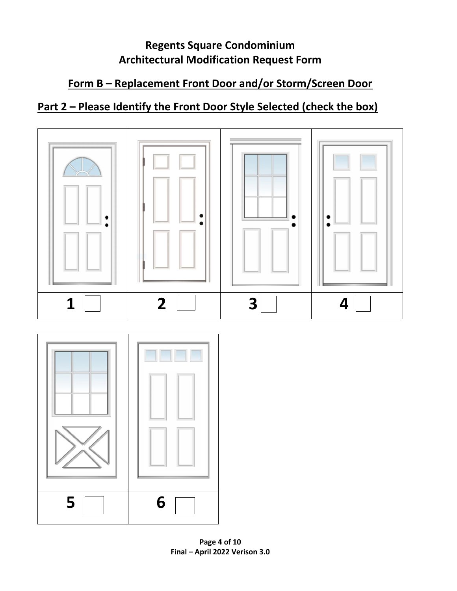# **Form B – Replacement Front Door and/or Storm/Screen Door**

# **Part 2 – Please Identify the Front Door Style Selected (check the box)**



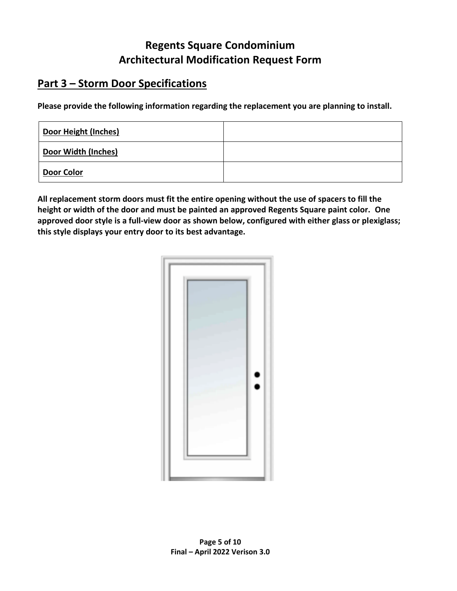### **Part 3 – Storm Door Specifications**

**Please provide the following information regarding the replacement you are planning to install.** 

| Door Height (Inches) |  |
|----------------------|--|
| Door Width (Inches)  |  |
| Door Color           |  |

**All replacement storm doors must fit the entire opening without the use of spacers to fill the height or width of the door and must be painted an approved Regents Square paint color. One approved door style is a full-view door as shown below, configured with either glass or plexiglass; this style displays your entry door to its best advantage.** 

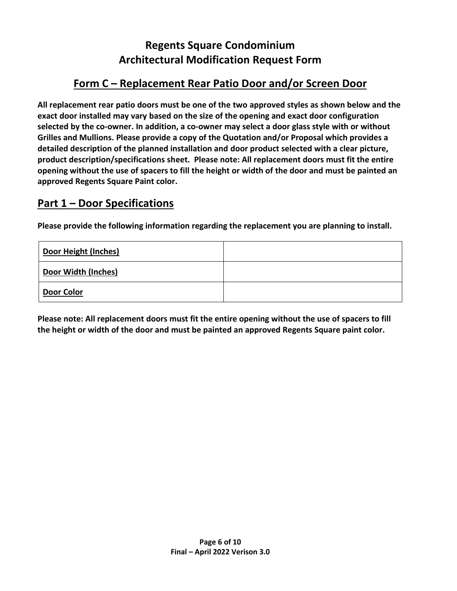# **Form C – Replacement Rear Patio Door and/or Screen Door**

**All replacement rear patio doors must be one of the two approved styles as shown below and the exact door installed may vary based on the size of the opening and exact door configuration selected by the co-owner. In addition, a co-owner may select a door glass style with or without Grilles and Mullions. Please provide a copy of the Quotation and/or Proposal which provides a detailed description of the planned installation and door product selected with a clear picture, product description/specifications sheet. Please note: All replacement doors must fit the entire opening without the use of spacers to fill the height or width of the door and must be painted an approved Regents Square Paint color.**

#### **Part 1 – Door Specifications**

**Please provide the following information regarding the replacement you are planning to install.** 

| <b>Door Height (Inches)</b> |  |
|-----------------------------|--|
| Door Width (Inches)         |  |
| <b>Door Color</b>           |  |

**Please note: All replacement doors must fit the entire opening without the use of spacers to fill the height or width of the door and must be painted an approved Regents Square paint color.**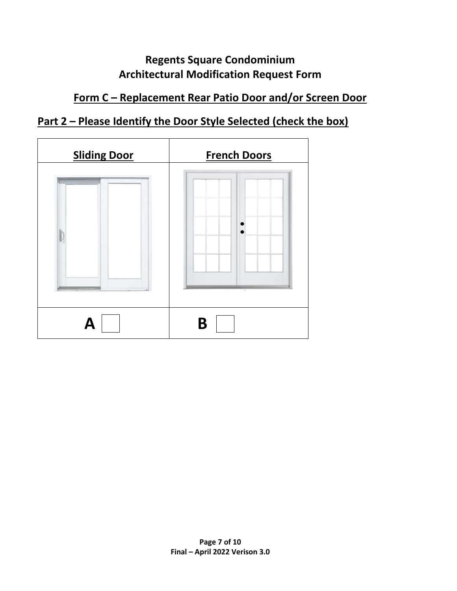## **Form C – Replacement Rear Patio Door and/or Screen Door**

# **Part 2 – Please Identify the Door Style Selected (check the box)**

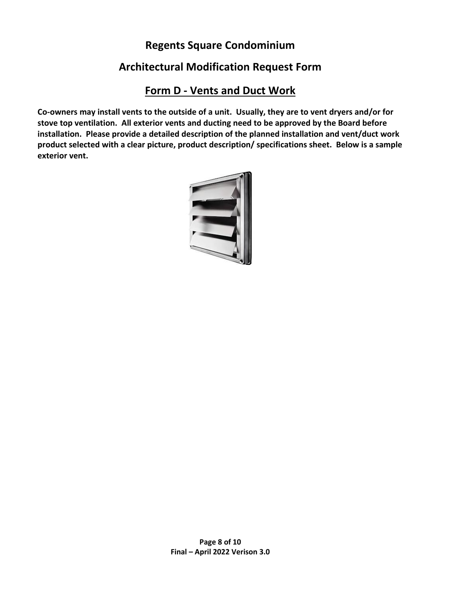#### **Regents Square Condominium**

### **Architectural Modification Request Form**

#### **Form D - Vents and Duct Work**

**Co-owners may install vents to the outside of a unit. Usually, they are to vent dryers and/or for stove top ventilation. All exterior vents and ducting need to be approved by the Board before installation. Please provide a detailed description of the planned installation and vent/duct work product selected with a clear picture, product description/ specifications sheet. Below is a sample exterior vent.** 

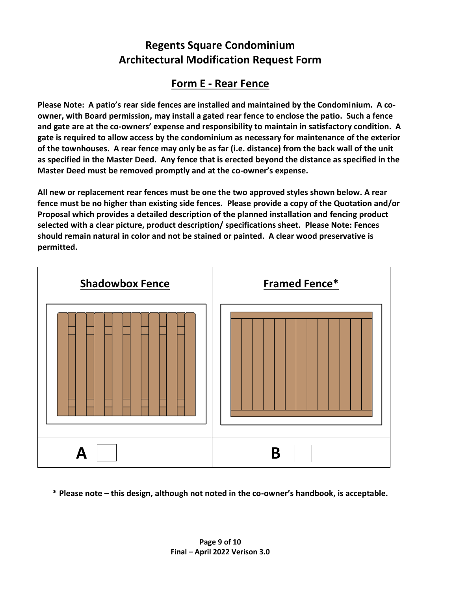### **Form E - Rear Fence**

**Please Note: A patio's rear side fences are installed and maintained by the Condominium. A coowner, with Board permission, may install a gated rear fence to enclose the patio. Such a fence and gate are at the co-owners' expense and responsibility to maintain in satisfactory condition. A gate is required to allow access by the condominium as necessary for maintenance of the exterior of the townhouses. A rear fence may only be as far (i.e. distance) from the back wall of the unit as specified in the Master Deed. Any fence that is erected beyond the distance as specified in the Master Deed must be removed promptly and at the co-owner's expense.** 

**All new or replacement rear fences must be one the two approved styles shown below. A rear fence must be no higher than existing side fences. Please provide a copy of the Quotation and/or Proposal which provides a detailed description of the planned installation and fencing product selected with a clear picture, product description/ specifications sheet. Please Note: Fences should remain natural in color and not be stained or painted. A clear wood preservative is permitted.** 



**\* Please note – this design, although not noted in the co-owner's handbook, is acceptable.**